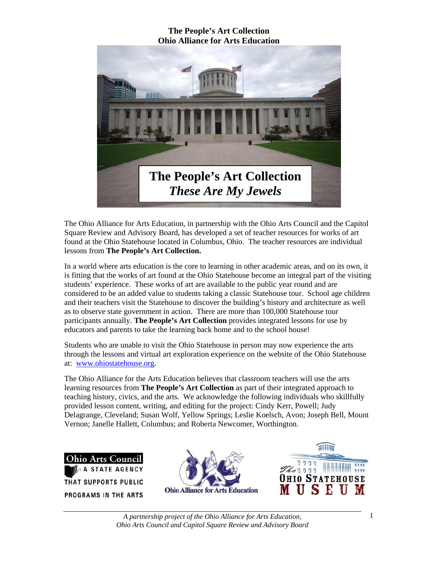

The Ohio Alliance for Arts Education, in partnership with the Ohio Arts Council and the Capitol Square Review and Advisory Board, has developed a set of teacher resources for works of art found at the Ohio Statehouse located in Columbus, Ohio. The teacher resources are individual lessons from **The People's Art Collection.** 

In a world where arts education is the core to learning in other academic areas, and on its own, it is fitting that the works of art found at the Ohio Statehouse become an integral part of the visiting students' experience. These works of art are available to the public year round and are considered to be an added value to students taking a classic Statehouse tour. School age children and their teachers visit the Statehouse to discover the building's history and architecture as well as to observe state government in action. There are more than 100,000 Statehouse tour participants annually. **The People's Art Collection** provides integrated lessons for use by educators and parents to take the learning back home and to the school house!

Students who are unable to visit the Ohio Statehouse in person may now experience the arts through the lessons and virtual art exploration experience on the website of the Ohio Statehouse at: www.ohiostatehouse.org.

The Ohio Alliance for the Arts Education believes that classroom teachers will use the arts learning resources from **The People's Art Collection** as part of their integrated approach to teaching history, civics, and the arts. We acknowledge the following individuals who skillfully provided lesson content, writing, and editing for the project: Cindy Kerr, Powell; Judy Delagrange, Cleveland; Susan Wolf, Yellow Springs; Leslie Koelsch, Avon; Joseph Bell, Mount Vernon; Janelle Hallett, Columbus; and Roberta Newcomer, Worthington.





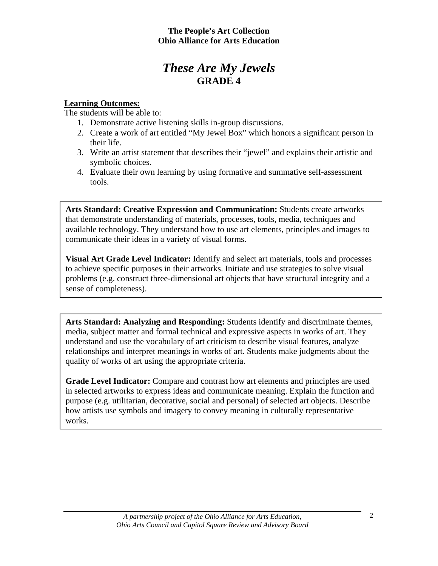# *These Are My Jewels*  **GRADE 4**

## **Learning Outcomes:**

The students will be able to:

- 1. Demonstrate active listening skills in-group discussions.
- 2. Create a work of art entitled "My Jewel Box" which honors a significant person in their life.
- 3. Write an artist statement that describes their "jewel" and explains their artistic and symbolic choices.
- 4. Evaluate their own learning by using formative and summative self-assessment tools.

**Arts Standard: Creative Expression and Communication:** Students create artworks that demonstrate understanding of materials, processes, tools, media, techniques and available technology. They understand how to use art elements, principles and images to communicate their ideas in a variety of visual forms.

**Visual Art Grade Level Indicator:** Identify and select art materials, tools and processes to achieve specific purposes in their artworks. Initiate and use strategies to solve visual problems (e.g. construct three-dimensional art objects that have structural integrity and a sense of completeness).

**Arts Standard: Analyzing and Responding:** Students identify and discriminate themes, media, subject matter and formal technical and expressive aspects in works of art. They understand and use the vocabulary of art criticism to describe visual features, analyze relationships and interpret meanings in works of art. Students make judgments about the quality of works of art using the appropriate criteria.

**Grade Level Indicator:** Compare and contrast how art elements and principles are used in selected artworks to express ideas and communicate meaning. Explain the function and purpose (e.g. utilitarian, decorative, social and personal) of selected art objects. Describe how artists use symbols and imagery to convey meaning in culturally representative works.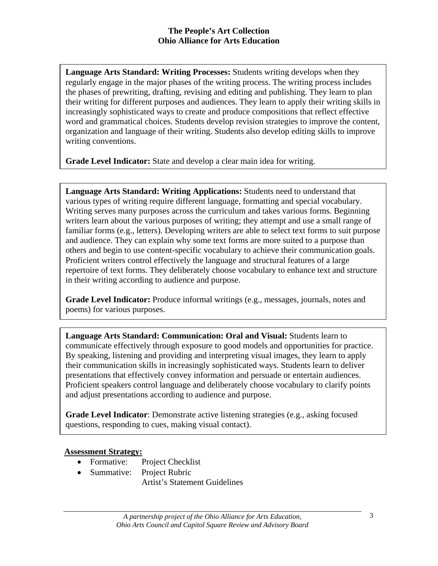**Language Arts Standard: Writing Processes:** Students writing develops when they regularly engage in the major phases of the writing process. The writing process includes the phases of prewriting, drafting, revising and editing and publishing. They learn to plan their writing for different purposes and audiences. They learn to apply their writing skills in increasingly sophisticated ways to create and produce compositions that reflect effective word and grammatical choices. Students develop revision strategies to improve the content, organization and language of their writing. Students also develop editing skills to improve writing conventions.

**Grade Level Indicator:** State and develop a clear main idea for writing.

**Language Arts Standard: Writing Applications:** Students need to understand that various types of writing require different language, formatting and special vocabulary. Writing serves many purposes across the curriculum and takes various forms. Beginning writers learn about the various purposes of writing; they attempt and use a small range of familiar forms (e.g., letters). Developing writers are able to select text forms to suit purpose and audience. They can explain why some text forms are more suited to a purpose than others and begin to use content-specific vocabulary to achieve their communication goals. Proficient writers control effectively the language and structural features of a large repertoire of text forms. They deliberately choose vocabulary to enhance text and structure in their writing according to audience and purpose.

**Grade Level Indicator:** Produce informal writings (e.g., messages, journals, notes and poems) for various purposes.

**Language Arts Standard: Communication: Oral and Visual:** Students learn to communicate effectively through exposure to good models and opportunities for practice. By speaking, listening and providing and interpreting visual images, they learn to apply their communication skills in increasingly sophisticated ways. Students learn to deliver presentations that effectively convey information and persuade or entertain audiences. Proficient speakers control language and deliberately choose vocabulary to clarify points and adjust presentations according to audience and purpose.

**Grade Level Indicator**: Demonstrate active listening strategies (e.g., asking focused questions, responding to cues, making visual contact).

### **Assessment Strategy:**

- Formative: Project Checklist
- Summative: Project Rubric

Artist's Statement Guidelines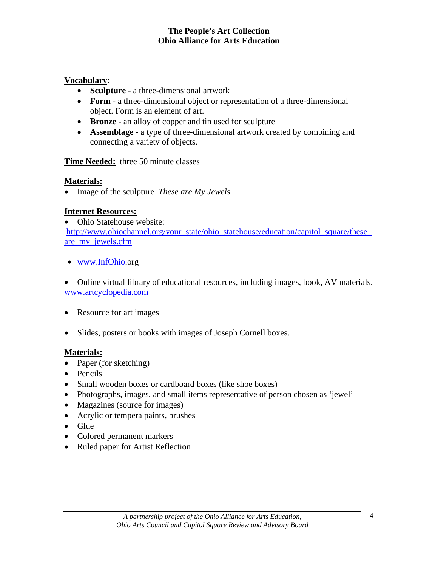## **Vocabulary:**

- **Sculpture** a three-dimensional artwork
- **Form** a three-dimensional object or representation of a three-dimensional object. Form is an element of art.
- **Bronze** an alloy of copper and tin used for sculpture
- **Assemblage** a type of three-dimensional artwork created by combining and connecting a variety of objects.

## **Time Needed:** three 50 minute classes

## **Materials:**

• Image of the sculpture *These are My Jewels* 

# **Internet Resources:**

• Ohio Statehouse website: http://www.ohiochannel.org/your\_state/ohio\_statehouse/education/capitol\_square/these\_ are\_my\_jewels.cfm

• www.InfOhio.org

• Online virtual library of educational resources, including images, book, AV materials. www.artcyclopedia.com

- Resource for art images
- Slides, posters or books with images of Joseph Cornell boxes.

# **Materials:**

- Paper (for sketching)
- Pencils
- Small wooden boxes or cardboard boxes (like shoe boxes)
- Photographs, images, and small items representative of person chosen as 'jewel'
- Magazines (source for images)
- Acrylic or tempera paints, brushes
- Glue
- Colored permanent markers
- Ruled paper for Artist Reflection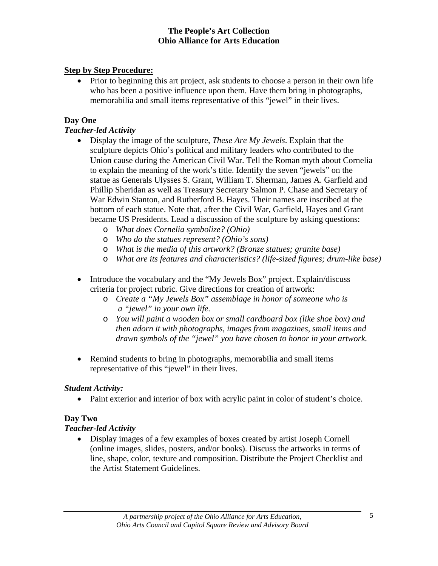# **Step by Step Procedure:**

• Prior to beginning this art project, ask students to choose a person in their own life who has been a positive influence upon them. Have them bring in photographs, memorabilia and small items representative of this "jewel" in their lives.

# **Day One**

## *Teacher-led Activity*

- Display the image of the sculpture, *These Are My Jewels*. Explain that the sculpture depicts Ohio's political and military leaders who contributed to the Union cause during the American Civil War. Tell the Roman myth about Cornelia to explain the meaning of the work's title. Identify the seven "jewels" on the statue as Generals Ulysses S. Grant, William T. Sherman, James A. Garfield and Phillip Sheridan as well as Treasury Secretary Salmon P. Chase and Secretary of War Edwin Stanton, and Rutherford B. Hayes. Their names are inscribed at the bottom of each statue. Note that, after the Civil War, Garfield, Hayes and Grant became US Presidents. Lead a discussion of the sculpture by asking questions:
	- o *What does Cornelia symbolize? (Ohio)*
	- o *Who do the statues represent? (Ohio's sons)*
	- o *What is the media of this artwork? (Bronze statues; granite base)*
	- o *What are its features and characteristics? (life-sized figures; drum-like base)*
- Introduce the vocabulary and the "My Jewels Box" project. Explain/discuss criteria for project rubric. Give directions for creation of artwork:
	- o *Create a "My Jewels Box" assemblage in honor of someone who is a "jewel" in your own life.*
	- o *You will paint a wooden box or small cardboard box (like shoe box) and then adorn it with photographs, images from magazines, small items and drawn symbols of the "jewel" you have chosen to honor in your artwork.*
- Remind students to bring in photographs, memorabilia and small items representative of this "jewel" in their lives.

### *Student Activity:*

• Paint exterior and interior of box with acrylic paint in color of student's choice.

# **Day Two**

# *Teacher-led Activity*

• Display images of a few examples of boxes created by artist Joseph Cornell (online images, slides, posters, and/or books). Discuss the artworks in terms of line, shape, color, texture and composition. Distribute the Project Checklist and the Artist Statement Guidelines.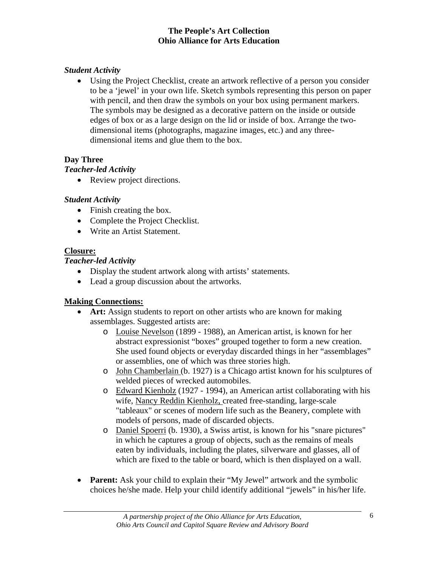# *Student Activity*

• Using the Project Checklist, create an artwork reflective of a person you consider to be a 'jewel' in your own life. Sketch symbols representing this person on paper with pencil, and then draw the symbols on your box using permanent markers. The symbols may be designed as a decorative pattern on the inside or outside edges of box or as a large design on the lid or inside of box. Arrange the twodimensional items (photographs, magazine images, etc.) and any threedimensional items and glue them to the box.

#### **Day Three**

### *Teacher-led Activity*

• Review project directions.

### *Student Activity*

- Finish creating the box.
- Complete the Project Checklist.
- Write an Artist Statement.

### **Closure:**

# *Teacher-led Activity*

- Display the student artwork along with artists' statements.
- Lead a group discussion about the artworks.

# **Making Connections:**

- **Art:** Assign students to report on other artists who are known for making assemblages. Suggested artists are:
	- o Louise Nevelson (1899 1988), an American artist, is known for her abstract expressionist "boxes" grouped together to form a new creation. She used found objects or everyday discarded things in her "assemblages" or assemblies, one of which was three stories high.
	- o John Chamberlain (b. 1927) is a Chicago artist known for his sculptures of welded pieces of wrecked automobiles.
	- o Edward Kienholz (1927 1994), an American artist collaborating with his wife, Nancy Reddin Kienholz, created free-standing, large-scale "tableaux" or scenes of modern life such as the Beanery, complete with models of persons, made of discarded objects.
	- o Daniel Spoerri (b. 1930), a Swiss artist, is known for his "snare pictures" in which he captures a group of objects, such as the remains of meals eaten by individuals, including the plates, silverware and glasses, all of which are fixed to the table or board, which is then displayed on a wall.
- **Parent:** Ask your child to explain their "My Jewel" artwork and the symbolic choices he/she made. Help your child identify additional "jewels" in his/her life.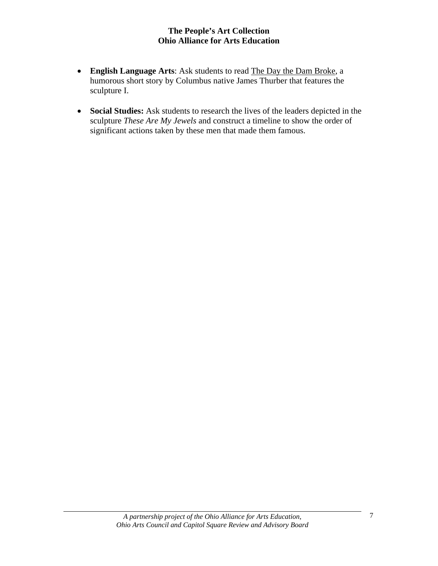- **English Language Arts**: Ask students to read The Day the Dam Broke, a humorous short story by Columbus native James Thurber that features the sculpture I.
- **Social Studies:** Ask students to research the lives of the leaders depicted in the sculpture *These Are My Jewels* and construct a timeline to show the order of significant actions taken by these men that made them famous.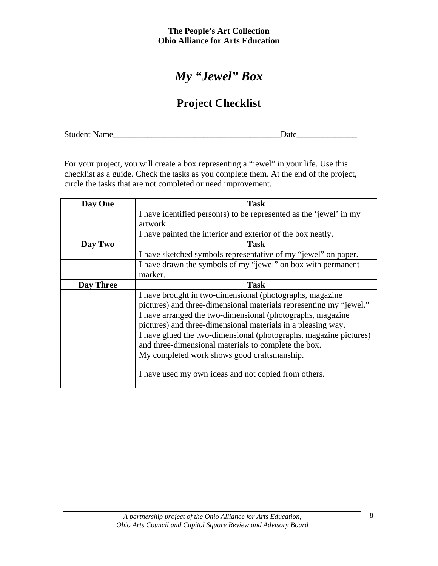# *My "Jewel" Box*

# **Project Checklist**

Student Name\_\_\_\_\_\_\_\_\_\_\_\_\_\_\_\_\_\_\_\_\_\_\_\_\_\_\_\_\_\_\_\_\_\_\_\_\_\_\_Date\_\_\_\_\_\_\_\_\_\_\_\_\_\_

For your project, you will create a box representing a "jewel" in your life. Use this checklist as a guide. Check the tasks as you complete them. At the end of the project, circle the tasks that are not completed or need improvement.

| Day One          | <b>Task</b>                                                        |  |  |
|------------------|--------------------------------------------------------------------|--|--|
|                  | I have identified person(s) to be represented as the 'jewel' in my |  |  |
|                  | artwork.                                                           |  |  |
|                  | I have painted the interior and exterior of the box neatly.        |  |  |
| Day Two          | <b>Task</b>                                                        |  |  |
|                  | I have sketched symbols representative of my "jewel" on paper.     |  |  |
|                  | I have drawn the symbols of my "jewel" on box with permanent       |  |  |
|                  | marker.                                                            |  |  |
| <b>Day Three</b> | <b>Task</b>                                                        |  |  |
|                  | I have brought in two-dimensional (photographs, magazine           |  |  |
|                  | pictures) and three-dimensional materials representing my "jewel." |  |  |
|                  | I have arranged the two-dimensional (photographs, magazine         |  |  |
|                  | pictures) and three-dimensional materials in a pleasing way.       |  |  |
|                  | I have glued the two-dimensional (photographs, magazine pictures)  |  |  |
|                  | and three-dimensional materials to complete the box.               |  |  |
|                  | My completed work shows good craftsmanship.                        |  |  |
|                  |                                                                    |  |  |
|                  | I have used my own ideas and not copied from others.               |  |  |
|                  |                                                                    |  |  |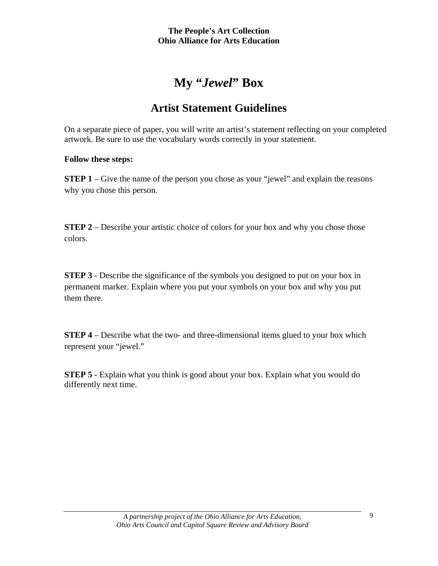# **My "***Jewel***" Box**

# **Artist Statement Guidelines**

On a separate piece of paper, you will write an artist's statement reflecting on your completed artwork. Be sure to use the vocabulary words correctly in your statement.

### **Follow these steps:**

**STEP 1** – Give the name of the person you chose as your "jewel" and explain the reasons why you chose this person.

**STEP 2** – Describe your artistic choice of colors for your box and why you chose those colors.

**STEP 3** - Describe the significance of the symbols you designed to put on your box in permanent marker. Explain where you put your symbols on your box and why you put them there.

**STEP 4** – Describe what the two- and three-dimensional items glued to your box which represent your "jewel."

**STEP 5** - Explain what you think is good about your box. Explain what you would do differently next time.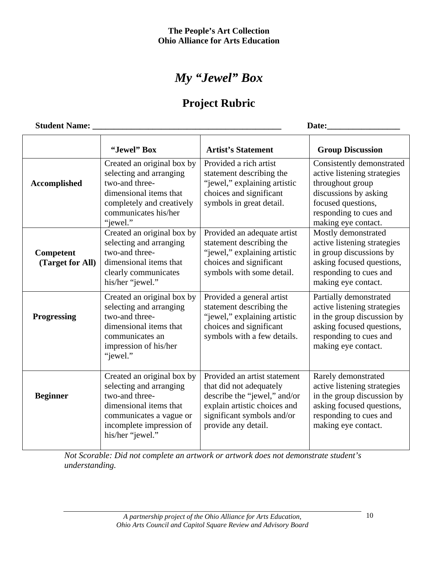# *My "Jewel" Box*

# **Project Rubric**

| <b>Student Name:</b>          |                                                                                                                                                                              | Date:                                                                                                                                                                        |                                                                                                                                                                              |  |
|-------------------------------|------------------------------------------------------------------------------------------------------------------------------------------------------------------------------|------------------------------------------------------------------------------------------------------------------------------------------------------------------------------|------------------------------------------------------------------------------------------------------------------------------------------------------------------------------|--|
|                               | "Jewel" Box                                                                                                                                                                  | <b>Artist's Statement</b>                                                                                                                                                    | <b>Group Discussion</b>                                                                                                                                                      |  |
| <b>Accomplished</b>           | Created an original box by<br>selecting and arranging<br>two-and three-<br>dimensional items that<br>completely and creatively<br>communicates his/her<br>"jewel."           | Provided a rich artist<br>statement describing the<br>"jewel," explaining artistic<br>choices and significant<br>symbols in great detail.                                    | Consistently demonstrated<br>active listening strategies<br>throughout group<br>discussions by asking<br>focused questions,<br>responding to cues and<br>making eye contact. |  |
| Competent<br>(Target for All) | Created an original box by<br>selecting and arranging<br>two-and three-<br>dimensional items that<br>clearly communicates<br>his/her "jewel."                                | Provided an adequate artist<br>statement describing the<br>"jewel," explaining artistic<br>choices and significant<br>symbols with some detail.                              | Mostly demonstrated<br>active listening strategies<br>in group discussions by<br>asking focused questions,<br>responding to cues and<br>making eye contact.                  |  |
| <b>Progressing</b>            | Created an original box by<br>selecting and arranging<br>two-and three-<br>dimensional items that<br>communicates an<br>impression of his/her<br>"jewel."                    | Provided a general artist<br>statement describing the<br>"jewel," explaining artistic<br>choices and significant<br>symbols with a few details.                              | Partially demonstrated<br>active listening strategies<br>in the group discussion by<br>asking focused questions,<br>responding to cues and<br>making eye contact.            |  |
| <b>Beginner</b>               | Created an original box by<br>selecting and arranging<br>two-and three-<br>dimensional items that<br>communicates a vague or<br>incomplete impression of<br>his/her "jewel." | Provided an artist statement<br>that did not adequately<br>describe the "jewel," and/or<br>explain artistic choices and<br>significant symbols and/or<br>provide any detail. | Rarely demonstrated<br>active listening strategies<br>in the group discussion by<br>asking focused questions,<br>responding to cues and<br>making eye contact.               |  |

*Not Scorable: Did not complete an artwork or artwork does not demonstrate student's understanding.*